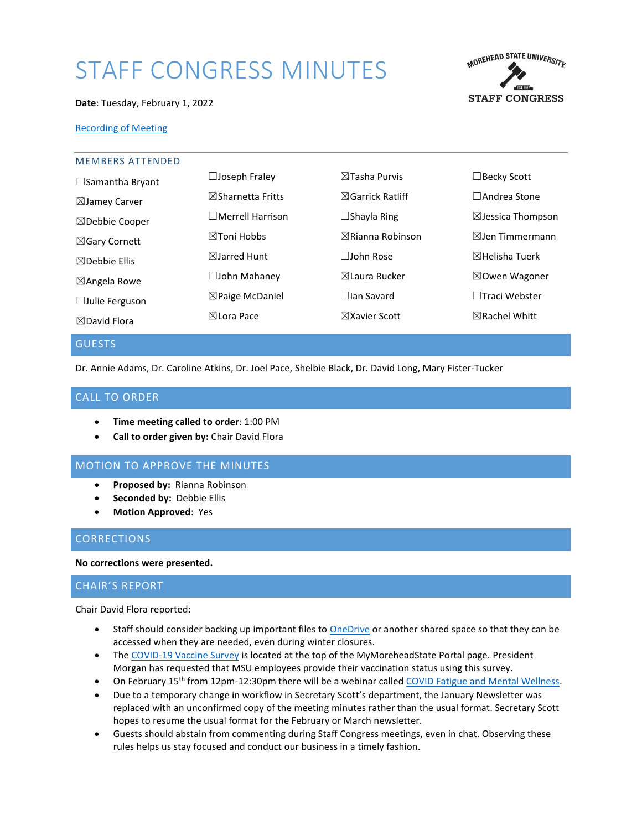# STAFF CONGRESS MINUTES



#### **Date**: Tuesday, February 1, 2022

## [Recording of Meeting](https://moreheadstate.webex.com/moreheadstate/ldr.php?RCID=53f355d8d8c1dff9e0266276f1b8734a)

| <b>MEMBERS ATTENDED</b>  |                              |                             |                              |
|--------------------------|------------------------------|-----------------------------|------------------------------|
| $\Box$ Samantha Bryant   | $\Box$ Joseph Fraley         | $\boxtimes$ Tasha Purvis    | $\exists$ Becky Scott        |
| $\boxtimes$ Jamey Carver | $\boxtimes$ Sharnetta Fritts | $\boxtimes$ Garrick Ratliff | $\Box$ Andrea Stone          |
| ⊠Debbie Cooper           | $\Box$ Merrell Harrison      | $\Box$ Shayla Ring          | $\boxtimes$ Jessica Thompson |
| ⊠Gary Cornett            | ⊠Toni Hobbs                  | $\boxtimes$ Rianna Robinson | $\boxtimes$ Jen Timmermann   |
| $\boxtimes$ Debbie Ellis | $\boxtimes$ Jarred Hunt      | $\Box$ John Rose            | $\boxtimes$ Helisha Tuerk    |
| $\boxtimes$ Angela Rowe  | $\square$ John Mahaney       | ⊠Laura Rucker               | $\boxtimes$ Owen Wagoner     |
| $\Box$ Julie Ferguson    | $\boxtimes$ Paige McDaniel   | $\Box$ lan Savard           | $\Box$ Traci Webster         |
| $\boxtimes$ David Flora  | ⊠Lora Pace                   | $\boxtimes$ Xavier Scott    | $\boxtimes$ Rachel Whitt     |
|                          |                              |                             |                              |

## **GUESTS**

Dr. Annie Adams, Dr. Caroline Atkins, Dr. Joel Pace, Shelbie Black, Dr. David Long, Mary Fister-Tucker

## CALL TO ORDER

- **Time meeting called to order**: 1:00 PM
- **Call to order given by:** Chair David Flora

## MOTION TO APPROVE THE MINUTES

- **Proposed by:** Rianna Robinson
- **Seconded by:** Debbie Ellis
- **Motion Approved**: Yes

## **CORRECTIONS**

#### **No corrections were presented.**

#### CHAIR'S REPORT

Chair David Flora reported:

- Staff should consider backing up important files to **OneDrive** or another shared space so that they can be accessed when they are needed, even during winter closures.
- Th[e COVID-19 Vaccine Survey](https://forms.office.com/Pages/ResponsePage.aspx?id=RKg1YTuFjEuQIK5_fM9sIk0PJv2FHBBKmwap8TRUvtFUMUtaOFVFRTZHVkQ1UTVCWVQ1VFpHOEY4WiQlQCN0PWcu) is located at the top of the MyMoreheadState Portal page. President Morgan has requested that MSU employees provide their vaccination status using this survey.
- On February 15<sup>th</sup> from 12pm-12:30pm there will be a webinar calle[d COVID Fatigue and Mental Wellness.](https://uky.zoom.us/webinar/register/WN_twk1lmCaR52ZaYAoSuoofQ)
- Due to a temporary change in workflow in Secretary Scott's department, the January Newsletter was replaced with an unconfirmed copy of the meeting minutes rather than the usual format. Secretary Scott hopes to resume the usual format for the February or March newsletter.
- Guests should abstain from commenting during Staff Congress meetings, even in chat. Observing these rules helps us stay focused and conduct our business in a timely fashion.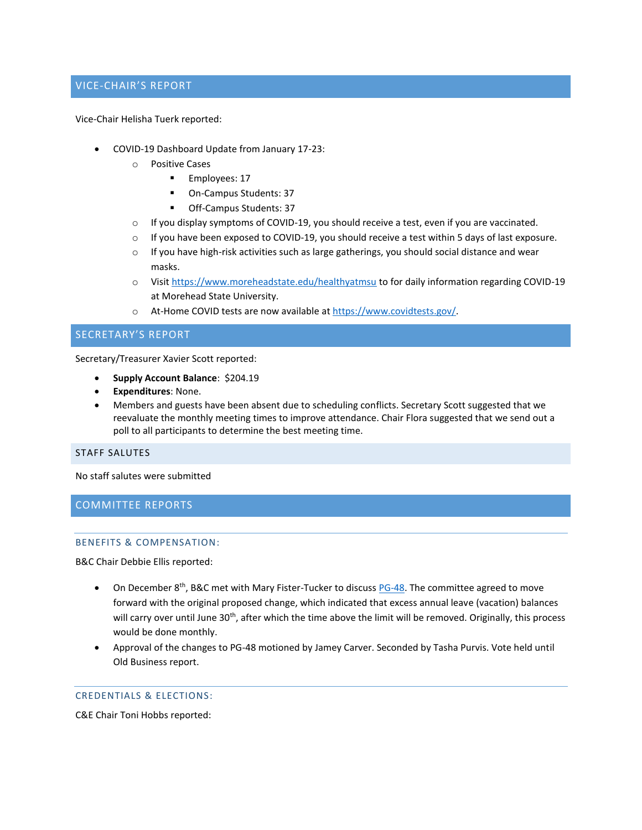# VICE-CHAIR'S REPORT

Vice-Chair Helisha Tuerk reported:

- COVID-19 Dashboard Update from January 17-23:
	- o Positive Cases
		- Employees: 17
		- On-Campus Students: 37
		- Off-Campus Students: 37
	- $\circ$  If you display symptoms of COVID-19, you should receive a test, even if you are vaccinated.
	- $\circ$  If you have been exposed to COVID-19, you should receive a test within 5 days of last exposure.
	- $\circ$  If you have high-risk activities such as large gatherings, you should social distance and wear masks.
	- o Visit<https://www.moreheadstate.edu/healthyatmsu> to for daily information regarding COVID-19 at Morehead State University.
	- o At-Home COVID tests are now available a[t https://www.covidtests.gov/.](https://www.covidtests.gov/)

SECRETARY'S REPORT

Secretary/Treasurer Xavier Scott reported:

- **Supply Account Balance**: \$204.19
- **Expenditures**: None.
- Members and guests have been absent due to scheduling conflicts. Secretary Scott suggested that we reevaluate the monthly meeting times to improve attendance. Chair Flora suggested that we send out a poll to all participants to determine the best meeting time.

STAFF SALUTES

No staff salutes were submitted

COMMITTEE REPORTS

#### BENEFITS & COMPENSATION:

B&C Chair Debbie Ellis reported:

- On December 8<sup>th</sup>, B&C met with Mary Fister-Tucker to discus[s PG-48.](https://www.moreheadstate.edu/administration/human-resources/personnel-policies/msu-personnel-policies/pg-48-vacation-leave) The committee agreed to move forward with the original proposed change, which indicated that excess annual leave (vacation) balances will carry over until June 30<sup>th</sup>, after which the time above the limit will be removed. Originally, this process would be done monthly.
- Approval of the changes to PG-48 motioned by Jamey Carver. Seconded by Tasha Purvis. Vote held until Old Business report.

## CREDENTIALS & ELECTIONS:

C&E Chair Toni Hobbs reported: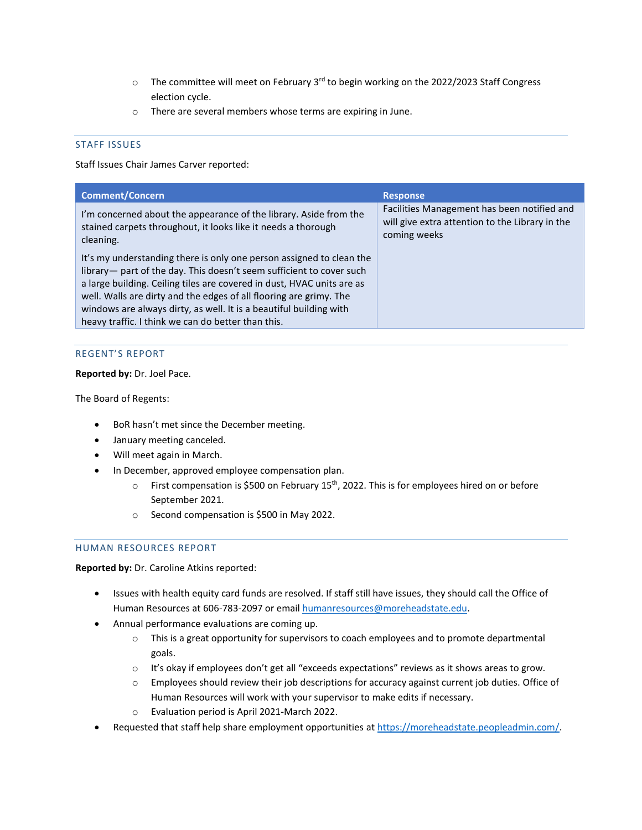- $\circ$  The committee will meet on February 3<sup>rd</sup> to begin working on the 2022/2023 Staff Congress election cycle.
- o There are several members whose terms are expiring in June.

## STAFF ISSUES

Staff Issues Chair James Carver reported:

| <b>Comment/Concern</b>                                                                                                                                                                                                                                                                                                                                                                                                   | <b>Response</b>                                                                                                |
|--------------------------------------------------------------------------------------------------------------------------------------------------------------------------------------------------------------------------------------------------------------------------------------------------------------------------------------------------------------------------------------------------------------------------|----------------------------------------------------------------------------------------------------------------|
| I'm concerned about the appearance of the library. Aside from the<br>stained carpets throughout, it looks like it needs a thorough<br>cleaning.                                                                                                                                                                                                                                                                          | Facilities Management has been notified and<br>will give extra attention to the Library in the<br>coming weeks |
| It's my understanding there is only one person assigned to clean the<br>library— part of the day. This doesn't seem sufficient to cover such<br>a large building. Ceiling tiles are covered in dust, HVAC units are as<br>well. Walls are dirty and the edges of all flooring are grimy. The<br>windows are always dirty, as well. It is a beautiful building with<br>heavy traffic. I think we can do better than this. |                                                                                                                |

## REGENT'S REPORT

**Reported by:** Dr. Joel Pace.

The Board of Regents:

- BoR hasn't met since the December meeting.
- January meeting canceled.
- Will meet again in March.
- In December, approved employee compensation plan.
	- $\circ$  First compensation is \$500 on February 15<sup>th</sup>, 2022. This is for employees hired on or before September 2021.
	- o Second compensation is \$500 in May 2022.

## HUMAN RESOURCES REPORT

**Reported by:** Dr. Caroline Atkins reported:

- Issues with health equity card funds are resolved. If staff still have issues, they should call the Office of Human Resources at 606-783-2097 or emai[l humanresources@moreheadstate.edu.](mailto:humanresources@moreheadstate.edu)
- Annual performance evaluations are coming up.
	- o This is a great opportunity for supervisors to coach employees and to promote departmental goals.
	- $\circ$  It's okay if employees don't get all "exceeds expectations" reviews as it shows areas to grow.
	- $\circ$  Employees should review their job descriptions for accuracy against current job duties. Office of Human Resources will work with your supervisor to make edits if necessary.
	- o Evaluation period is April 2021-March 2022.
- Requested that staff help share employment opportunities at [https://moreheadstate.peopleadmin.com/.](https://moreheadstate.peopleadmin.com/)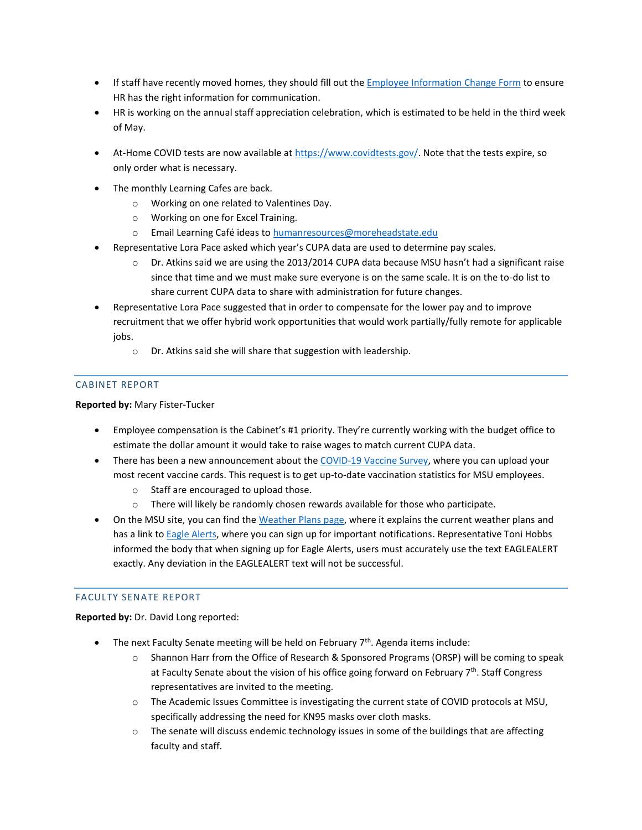- If staff have recently moved homes, they should fill out the [Employee Information Change Form](https://www.moreheadstate.edu/MSU/media/Human-Resources/Employee-Information-Change-Form.pdf) to ensure HR has the right information for communication.
- HR is working on the annual staff appreciation celebration, which is estimated to be held in the third week of May.
- At-Home COVID tests are now available at [https://www.covidtests.gov/.](https://www.covidtests.gov/) Note that the tests expire, so only order what is necessary.
- The monthly Learning Cafes are back.
	- o Working on one related to Valentines Day.
	- o Working on one for Excel Training.
	- o Email Learning Café ideas t[o humanresources@moreheadstate.edu](mailto:humanresources@moreheadstate.edu)
- Representative Lora Pace asked which year's CUPA data are used to determine pay scales.
	- $\circ$  Dr. Atkins said we are using the 2013/2014 CUPA data because MSU hasn't had a significant raise since that time and we must make sure everyone is on the same scale. It is on the to-do list to share current CUPA data to share with administration for future changes.
- Representative Lora Pace suggested that in order to compensate for the lower pay and to improve recruitment that we offer hybrid work opportunities that would work partially/fully remote for applicable jobs.
	- o Dr. Atkins said she will share that suggestion with leadership.

# CABINET REPORT

# **Reported by:** Mary Fister-Tucker

- Employee compensation is the Cabinet's #1 priority. They're currently working with the budget office to estimate the dollar amount it would take to raise wages to match current CUPA data.
- There has been a new announcement about the [COVID-19 Vaccine Survey,](https://forms.office.com/Pages/ResponsePage.aspx?id=RKg1YTuFjEuQIK5_fM9sIk0PJv2FHBBKmwap8TRUvtFUMUtaOFVFRTZHVkQ1UTVCWVQ1VFpHOEY4WiQlQCN0PWcu) where you can upload your most recent vaccine cards. This request is to get up-to-date vaccination statistics for MSU employees.
	- o Staff are encouraged to upload those.
	- o There will likely be randomly chosen rewards available for those who participate.
- On the MSU site, you can find the [Weather Plans](https://www.moreheadstate.edu/administration/emergency-resources/weather-plans) page, where it explains the current weather plans and has a link to [Eagle Alerts,](https://www.moreheadstate.edu/Administration/Eagle-Alerts) where you can sign up for important notifications. Representative Toni Hobbs informed the body that when signing up for Eagle Alerts, users must accurately use the text EAGLEALERT exactly. Any deviation in the EAGLEALERT text will not be successful.

## FACULTY SENATE REPORT

**Reported by:** Dr. David Long reported:

- The next Faculty Senate meeting will be held on February  $7<sup>th</sup>$ . Agenda items include:
	- o Shannon Harr from the Office of Research & Sponsored Programs (ORSP) will be coming to speak at Faculty Senate about the vision of his office going forward on February 7<sup>th</sup>. Staff Congress representatives are invited to the meeting.
	- o The Academic Issues Committee is investigating the current state of COVID protocols at MSU, specifically addressing the need for KN95 masks over cloth masks.
	- $\circ$  The senate will discuss endemic technology issues in some of the buildings that are affecting faculty and staff.